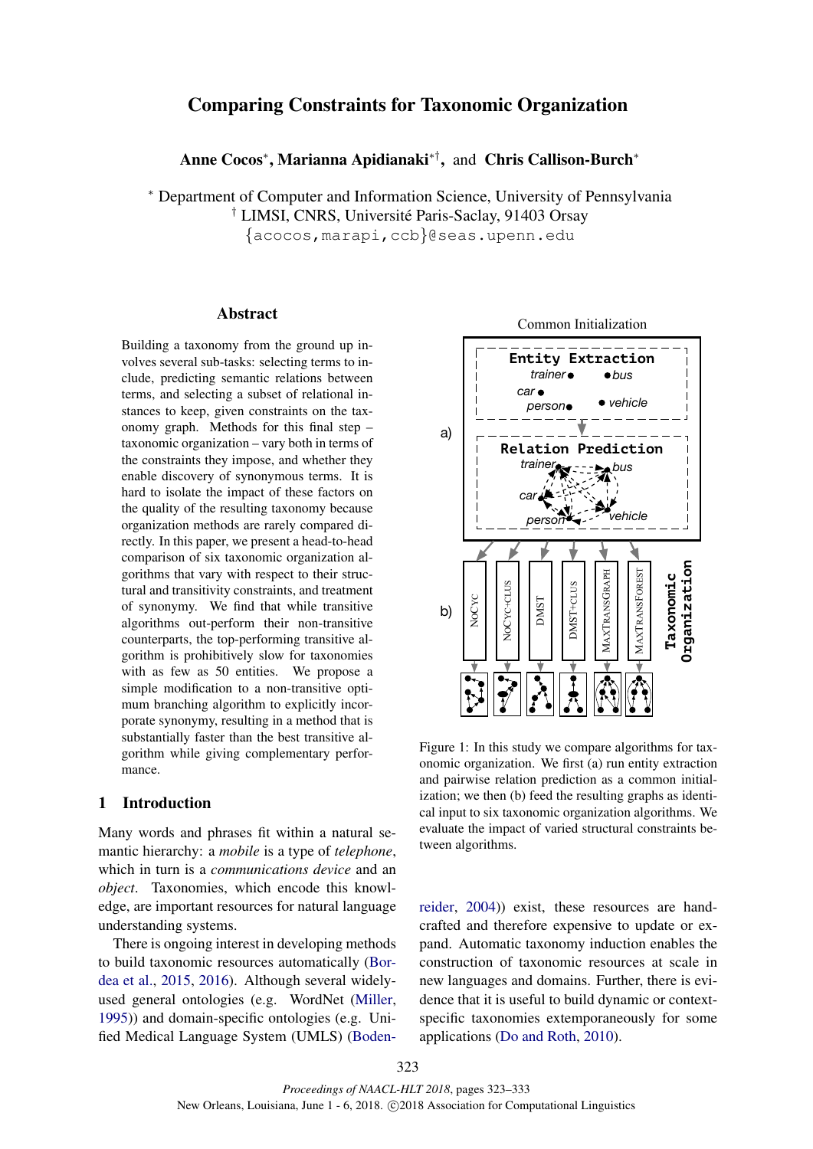# Comparing Constraints for Taxonomic Organization

Anne Cocos<sup>∗</sup> , Marianna Apidianaki∗† , and Chris Callison-Burch<sup>∗</sup>

<sup>∗</sup> Department of Computer and Information Science, University of Pennsylvania <sup>†</sup> LIMSI, CNRS, Université Paris-Saclay, 91403 Orsay {acocos,marapi,ccb}@seas.upenn.edu

## Abstract

Building a taxonomy from the ground up involves several sub-tasks: selecting terms to include, predicting semantic relations between terms, and selecting a subset of relational instances to keep, given constraints on the taxonomy graph. Methods for this final step – taxonomic organization – vary both in terms of the constraints they impose, and whether they enable discovery of synonymous terms. It is hard to isolate the impact of these factors on the quality of the resulting taxonomy because organization methods are rarely compared directly. In this paper, we present a head-to-head comparison of six taxonomic organization algorithms that vary with respect to their structural and transitivity constraints, and treatment of synonymy. We find that while transitive algorithms out-perform their non-transitive counterparts, the top-performing transitive algorithm is prohibitively slow for taxonomies with as few as 50 entities. We propose a simple modification to a non-transitive optimum branching algorithm to explicitly incorporate synonymy, resulting in a method that is substantially faster than the best transitive algorithm while giving complementary performance. **Examplemental and the statistic contents and the statistic specific and the statistic contents and deterministic contents and contents are the statistic contents and the statistic contents are performing transitive about** 

## 1 Introduction

Many words and phrases fit within a natural semantic hierarchy: a *mobile* is a type of *telephone*, which in turn is a *communications device* and an *object*. Taxonomies, which encode this knowledge, are important resources for natural language understanding systems.

There is ongoing interest in developing methods to build taxonomic resources automatically (Bordea et al., 2015, 2016). Although several widelyused general ontologies (e.g. WordNet (Miller, 1995)) and domain-specific ontologies (e.g. Uni-

Common Initialization



Figure 1: In this study we compare algorithms for taxonomic organization. We first (a) run entity extraction and pairwise relation prediction as a common initialization; we then (b) feed the resulting graphs as identical input to six taxonomic organization algorithms. We evaluate the impact of varied structural constraints between algorithms.

reider, 2004)) exist, these resources are handcrafted and therefore expensive to update or expand. Automatic taxonomy induction enables the construction of taxonomic resources at scale in new languages and domains. Further, there is evidence that it is useful to build dynamic or contextspecific taxonomies extemporaneously for some applications (Do and Roth, 2010).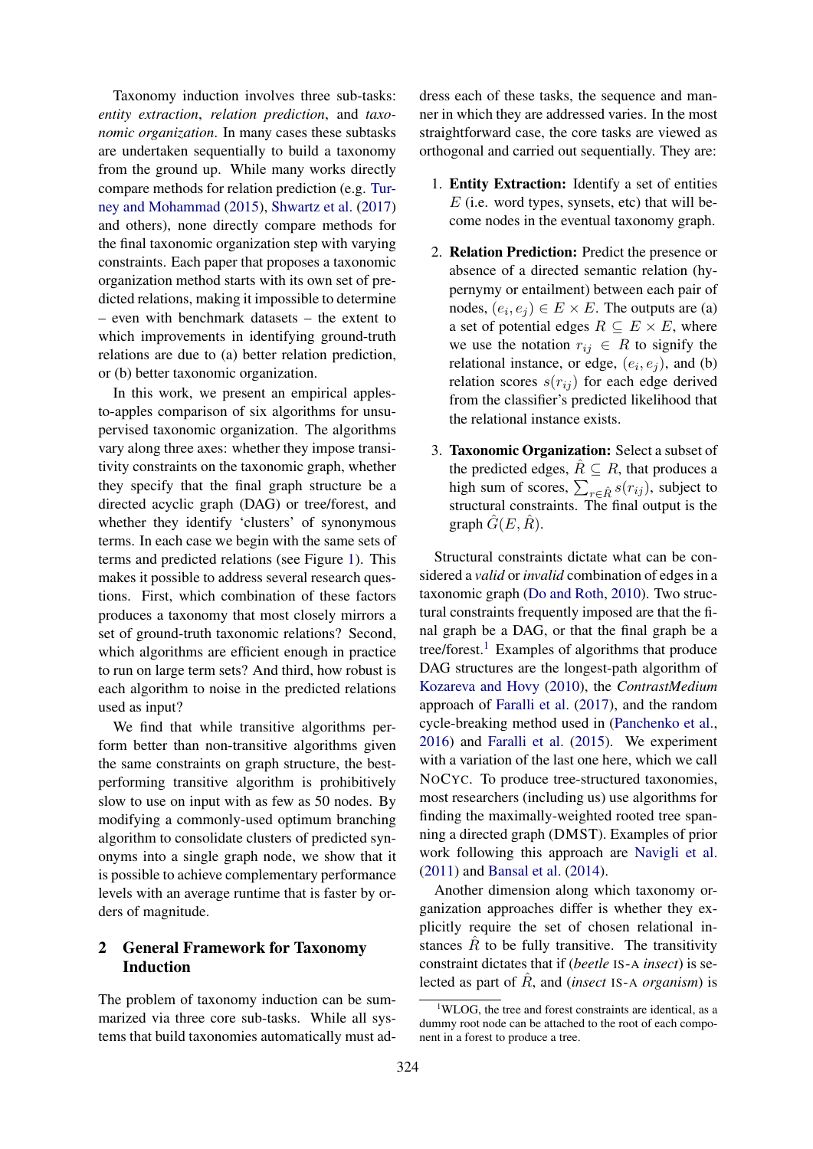Taxonomy induction involves three sub-tasks: *entity extraction*, *relation prediction*, and *taxonomic organization*. In many cases these subtasks are undertaken sequentially to build a taxonomy from the ground up. While many works directly compare methods for relation prediction (e.g. Turney and Mohammad (2015), Shwartz et al. (2017) and others), none directly compare methods for the final taxonomic organization step with varying constraints. Each paper that proposes a taxonomic organization method starts with its own set of predicted relations, making it impossible to determine – even with benchmark datasets – the extent to which improvements in identifying ground-truth relations are due to (a) better relation prediction, or (b) better taxonomic organization.

In this work, we present an empirical applesto-apples comparison of six algorithms for unsupervised taxonomic organization. The algorithms vary along three axes: whether they impose transitivity constraints on the taxonomic graph, whether they specify that the final graph structure be a directed acyclic graph (DAG) or tree/forest, and whether they identify 'clusters' of synonymous terms. In each case we begin with the same sets of terms and predicted relations (see Figure 1). This makes it possible to address several research questions. First, which combination of these factors produces a taxonomy that most closely mirrors a set of ground-truth taxonomic relations? Second, which algorithms are efficient enough in practice to run on large term sets? And third, how robust is each algorithm to noise in the predicted relations used as input?

We find that while transitive algorithms perform better than non-transitive algorithms given the same constraints on graph structure, the bestperforming transitive algorithm is prohibitively slow to use on input with as few as 50 nodes. By modifying a commonly-used optimum branching algorithm to consolidate clusters of predicted synonyms into a single graph node, we show that it is possible to achieve complementary performance levels with an average runtime that is faster by orders of magnitude.

# 2 General Framework for Taxonomy Induction

The problem of taxonomy induction can be summarized via three core sub-tasks. While all systems that build taxonomies automatically must address each of these tasks, the sequence and manner in which they are addressed varies. In the most straightforward case, the core tasks are viewed as orthogonal and carried out sequentially. They are:

- 1. Entity Extraction: Identify a set of entities  $E$  (i.e. word types, synsets, etc) that will become nodes in the eventual taxonomy graph.
- 2. Relation Prediction: Predict the presence or absence of a directed semantic relation (hypernymy or entailment) between each pair of nodes,  $(e_i, e_j) \in E \times E$ . The outputs are (a) a set of potential edges  $R \subseteq E \times E$ , where we use the notation  $r_{ij} \in R$  to signify the relational instance, or edge,  $(e_i, e_j)$ , and (b) relation scores  $s(r_{ij})$  for each edge derived from the classifier's predicted likelihood that the relational instance exists.
- 3. Taxonomic Organization: Select a subset of the predicted edges,  $\hat{R} \subseteq R$ , that produces a high sum of scores,  $\sum_{r \in \hat{R}} s(r_{ij})$ , subject to structural constraints. The final output is the graph  $G(E, R)$ .

Structural constraints dictate what can be considered a *valid* or *invalid* combination of edges in a taxonomic graph (Do and Roth, 2010). Two structural constraints frequently imposed are that the final graph be a DAG, or that the final graph be a tree/forest.<sup>1</sup> Examples of algorithms that produce DAG structures are the longest-path algorithm of Kozareva and Hovy (2010), the *ContrastMedium* approach of Faralli et al. (2017), and the random cycle-breaking method used in (Panchenko et al., 2016) and Faralli et al. (2015). We experiment with a variation of the last one here, which we call NOCYC. To produce tree-structured taxonomies, most researchers (including us) use algorithms for finding the maximally-weighted rooted tree spanning a directed graph (DMST). Examples of prior work following this approach are Navigli et al. (2011) and Bansal et al. (2014).

Another dimension along which taxonomy organization approaches differ is whether they explicitly require the set of chosen relational instances  $\hat{R}$  to be fully transitive. The transitivity constraint dictates that if (*beetle* IS-A *insect*) is selected as part of Rˆ, and (*insect* IS-<sup>A</sup> *organism*) is

<sup>&</sup>lt;sup>1</sup>WLOG, the tree and forest constraints are identical, as a dummy root node can be attached to the root of each component in a forest to produce a tree.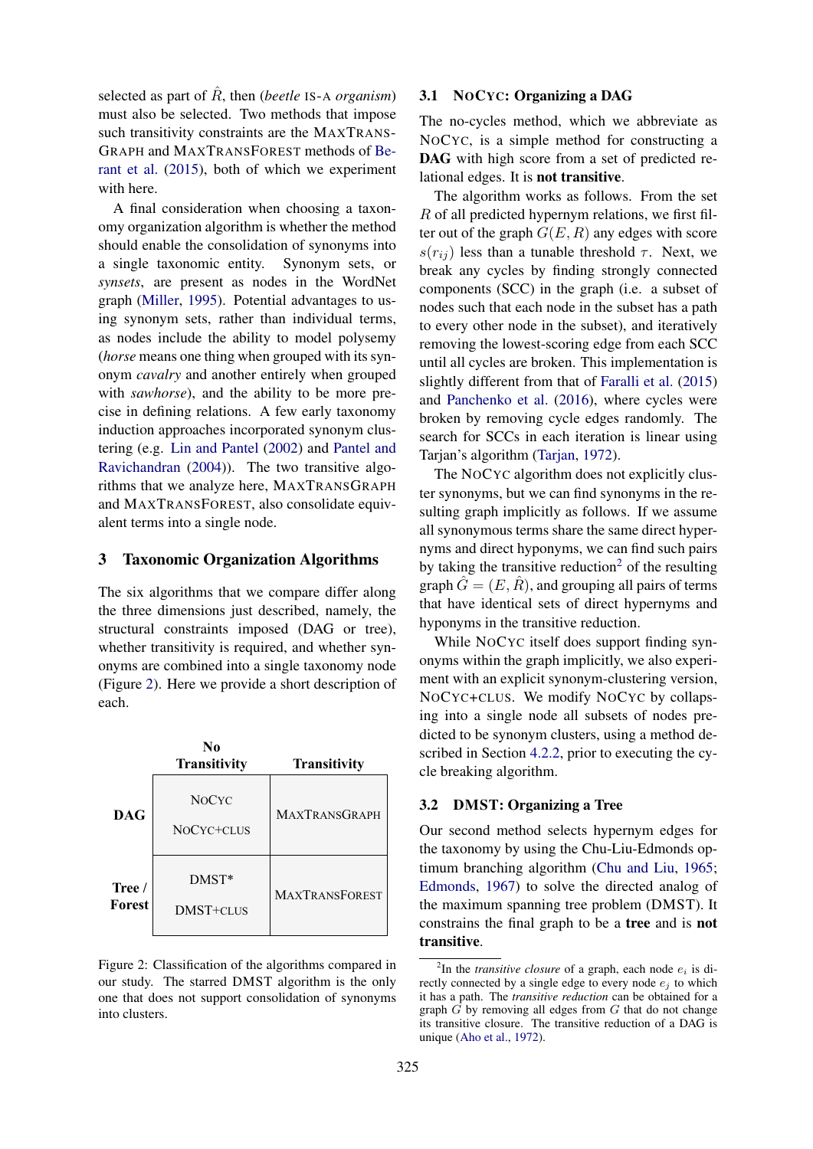selected as part of  $\tilde{R}$ , then (*beetle* IS-A *organism*) must also be selected. Two methods that impose such transitivity constraints are the MAXTRANS-GRAPH and MAXTRANSFOREST methods of Berant et al. (2015), both of which we experiment with here.

A final consideration when choosing a taxonomy organization algorithm is whether the method should enable the consolidation of synonyms into a single taxonomic entity. Synonym sets, or *synsets*, are present as nodes in the WordNet graph (Miller, 1995). Potential advantages to using synonym sets, rather than individual terms, as nodes include the ability to model polysemy (*horse* means one thing when grouped with its synonym *cavalry* and another entirely when grouped with *sawhorse*), and the ability to be more precise in defining relations. A few early taxonomy induction approaches incorporated synonym clustering (e.g. Lin and Pantel (2002) and Pantel and Ravichandran (2004)). The two transitive algorithms that we analyze here, MAXTRANSGRAPH and MAXTRANSFOREST, also consolidate equivalent terms into a single node.

## 3 Taxonomic Organization Algorithms

The six algorithms that we compare differ along the three dimensions just described, namely, the structural constraints imposed (DAG or tree), whether transitivity is required, and whether synonyms are combined into a single taxonomy node (Figure 2). Here we provide a short description of each.



Figure 2: Classification of the algorithms compared in our study. The starred DMST algorithm is the only one that does not support consolidation of synonyms into clusters.

## 3.1 NOCYC: Organizing a DAG

The no-cycles method, which we abbreviate as NOCYC, is a simple method for constructing a DAG with high score from a set of predicted relational edges. It is not transitive.

The algorithm works as follows. From the set  $R$  of all predicted hypernym relations, we first filter out of the graph  $G(E, R)$  any edges with score  $s(r_{ij})$  less than a tunable threshold  $\tau$ . Next, we break any cycles by finding strongly connected components (SCC) in the graph (i.e. a subset of nodes such that each node in the subset has a path to every other node in the subset), and iteratively removing the lowest-scoring edge from each SCC until all cycles are broken. This implementation is slightly different from that of Faralli et al. (2015) and Panchenko et al. (2016), where cycles were broken by removing cycle edges randomly. The search for SCCs in each iteration is linear using Tarjan's algorithm (Tarjan, 1972).

The NOCYC algorithm does not explicitly cluster synonyms, but we can find synonyms in the resulting graph implicitly as follows. If we assume all synonymous terms share the same direct hypernyms and direct hyponyms, we can find such pairs by taking the transitive reduction<sup>2</sup> of the resulting graph  $G = (E, R)$ , and grouping all pairs of terms that have identical sets of direct hypernyms and hyponyms in the transitive reduction.

While NOCYC itself does support finding synonyms within the graph implicitly, we also experiment with an explicit synonym-clustering version, NOCYC+CLUS. We modify NOCYC by collapsing into a single node all subsets of nodes predicted to be synonym clusters, using a method described in Section 4.2.2, prior to executing the cycle breaking algorithm.

## 3.2 DMST: Organizing a Tree

Our second method selects hypernym edges for the taxonomy by using the Chu-Liu-Edmonds optimum branching algorithm (Chu and Liu, 1965; Edmonds, 1967) to solve the directed analog of the maximum spanning tree problem (DMST). It constrains the final graph to be a tree and is not transitive.

<sup>&</sup>lt;sup>2</sup>In the *transitive closure* of a graph, each node  $e_i$  is directly connected by a single edge to every node  $e_i$  to which it has a path. The *transitive reduction* can be obtained for a graph  $\tilde{G}$  by removing all edges from  $G$  that do not change its transitive closure. The transitive reduction of a DAG is unique (Aho et al., 1972).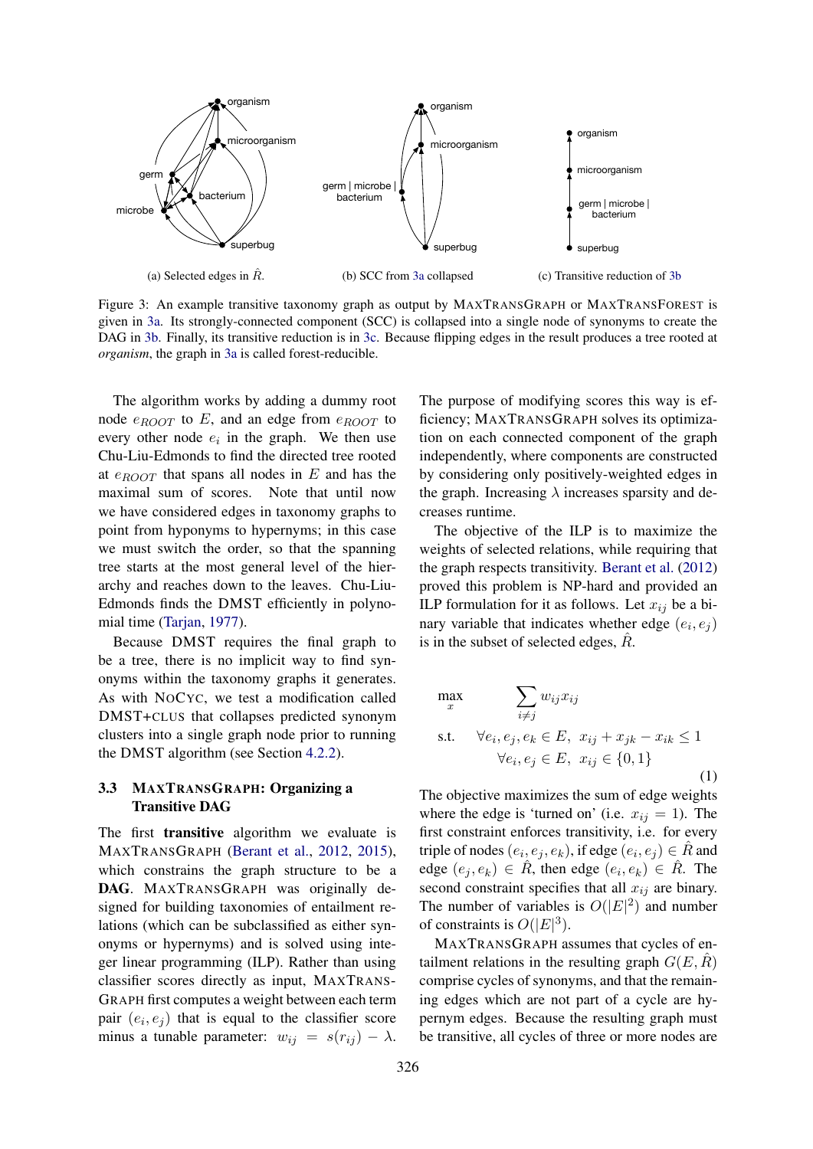

Figure 3: An example transitive taxonomy graph as output by MAXTRANSGRAPH or MAXTRANSFOREST is given in 3a. Its strongly-connected component (SCC) is collapsed into a single node of synonyms to create the DAG in 3b. Finally, its transitive reduction is in 3c. Because flipping edges in the result produces a tree rooted at *organism*, the graph in 3a is called forest-reducible.

The algorithm works by adding a dummy root node  $e_{ROOT}$  to E, and an edge from  $e_{ROOT}$  to every other node  $e_i$  in the graph. We then use Chu-Liu-Edmonds to find the directed tree rooted at  $e_{B}\sim T$  that spans all nodes in E and has the maximal sum of scores. Note that until now we have considered edges in taxonomy graphs to point from hyponyms to hypernyms; in this case we must switch the order, so that the spanning tree starts at the most general level of the hierarchy and reaches down to the leaves. Chu-Liu-Edmonds finds the DMST efficiently in polynomial time (Tarjan, 1977).

Because DMST requires the final graph to be a tree, there is no implicit way to find synonyms within the taxonomy graphs it generates. As with NOCYC, we test a modification called DMST+CLUS that collapses predicted synonym clusters into a single graph node prior to running the DMST algorithm (see Section 4.2.2).

## 3.3 MAXTRANSGRAPH: Organizing a Transitive DAG

The first transitive algorithm we evaluate is MAXTRANSGRAPH (Berant et al., 2012, 2015), which constrains the graph structure to be a DAG. MAXTRANSGRAPH was originally designed for building taxonomies of entailment relations (which can be subclassified as either synonyms or hypernyms) and is solved using integer linear programming (ILP). Rather than using classifier scores directly as input, MAXTRANS-GRAPH first computes a weight between each term pair  $(e_i, e_j)$  that is equal to the classifier score minus a tunable parameter:  $w_{ij} = s(r_{ij}) - \lambda$ .

The purpose of modifying scores this way is efficiency; MAXTRANSGRAPH solves its optimization on each connected component of the graph independently, where components are constructed by considering only positively-weighted edges in the graph. Increasing  $\lambda$  increases sparsity and decreases runtime.

The objective of the ILP is to maximize the weights of selected relations, while requiring that the graph respects transitivity. Berant et al. (2012) proved this problem is NP-hard and provided an ILP formulation for it as follows. Let  $x_{ij}$  be a binary variable that indicates whether edge  $(e_i, e_j)$ is in the subset of selected edges,  $R<sub>1</sub>$ .

$$
\begin{aligned}\n\max_{x} \qquad & \sum_{i \neq j} w_{ij} x_{ij} \\
\text{s.t.} \qquad & \forall e_i, e_j, e_k \in E, \ x_{ij} + x_{jk} - x_{ik} \le 1 \\
& \forall e_i, e_j \in E, \ x_{ij} \in \{0, 1\} \tag{1}\n\end{aligned}
$$

The objective maximizes the sum of edge weights where the edge is 'turned on' (i.e.  $x_{ij} = 1$ ). The first constraint enforces transitivity, i.e. for every triple of nodes  $(e_i, e_j, e_k)$ , if edge  $(e_i, e_j) \in \hat{R}$  and edge  $(e_j, e_k) \in \hat{R}$ , then edge  $(e_i, e_k) \in \hat{R}$ . The second constraint specifies that all  $x_{ij}$  are binary. The number of variables is  $O(|E|^2)$  and number of constraints is  $O(|E|^3)$ .

MAXTRANSGRAPH assumes that cycles of entailment relations in the resulting graph  $G(E, \hat{R})$ comprise cycles of synonyms, and that the remaining edges which are not part of a cycle are hypernym edges. Because the resulting graph must be transitive, all cycles of three or more nodes are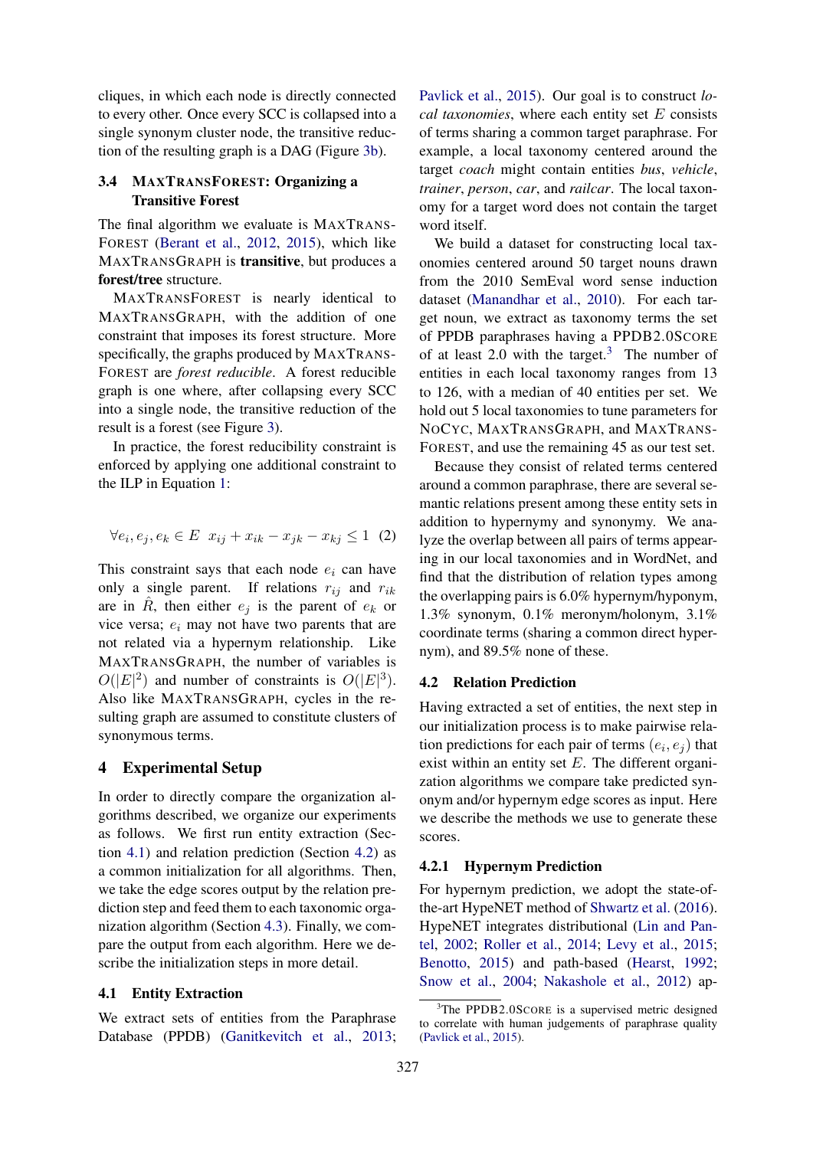cliques, in which each node is directly connected to every other. Once every SCC is collapsed into a single synonym cluster node, the transitive reduction of the resulting graph is a DAG (Figure 3b).

## 3.4 MAXTRANSFOREST: Organizing a Transitive Forest

The final algorithm we evaluate is MAXTRANS-FOREST (Berant et al., 2012, 2015), which like MAXTRANSGRAPH is transitive, but produces a forest/tree structure.

MAXTRANSFOREST is nearly identical to MAXTRANSGRAPH, with the addition of one constraint that imposes its forest structure. More specifically, the graphs produced by MAXTRANS-FOREST are *forest reducible*. A forest reducible graph is one where, after collapsing every SCC into a single node, the transitive reduction of the result is a forest (see Figure 3).

In practice, the forest reducibility constraint is enforced by applying one additional constraint to the ILP in Equation 1:

$$
\forall e_i, e_j, e_k \in E \quad x_{ij} + x_{ik} - x_{jk} - x_{kj} \le 1 \tag{2}
$$

This constraint says that each node  $e_i$  can have only a single parent. If relations  $r_{ij}$  and  $r_{ik}$ are in  $\hat{R}$ , then either  $e_i$  is the parent of  $e_k$  or vice versa;  $e_i$  may not have two parents that are not related via a hypernym relationship. Like MAXTRANSGRAPH, the number of variables is  $O(|E|^2)$  and number of constraints is  $O(|E|^3)$ . Also like MAXTRANSGRAPH, cycles in the resulting graph are assumed to constitute clusters of synonymous terms.

## 4 Experimental Setup

In order to directly compare the organization algorithms described, we organize our experiments as follows. We first run entity extraction (Section 4.1) and relation prediction (Section 4.2) as a common initialization for all algorithms. Then, we take the edge scores output by the relation prediction step and feed them to each taxonomic organization algorithm (Section 4.3). Finally, we compare the output from each algorithm. Here we describe the initialization steps in more detail.

## 4.1 Entity Extraction

We extract sets of entities from the Paraphrase Database (PPDB) (Ganitkevitch et al., 2013;

Pavlick et al., 2015). Our goal is to construct *local taxonomies*, where each entity set E consists of terms sharing a common target paraphrase. For example, a local taxonomy centered around the target *coach* might contain entities *bus*, *vehicle*, *trainer*, *person*, *car*, and *railcar*. The local taxonomy for a target word does not contain the target word itself.

We build a dataset for constructing local taxonomies centered around 50 target nouns drawn from the 2010 SemEval word sense induction dataset (Manandhar et al., 2010). For each target noun, we extract as taxonomy terms the set of PPDB paraphrases having a PPDB2.0SCORE of at least 2.0 with the target.<sup>3</sup> The number of entities in each local taxonomy ranges from 13 to 126, with a median of 40 entities per set. We hold out 5 local taxonomies to tune parameters for NOCYC, MAXTRANSGRAPH, and MAXTRANS-FOREST, and use the remaining 45 as our test set.

Because they consist of related terms centered around a common paraphrase, there are several semantic relations present among these entity sets in addition to hypernymy and synonymy. We analyze the overlap between all pairs of terms appearing in our local taxonomies and in WordNet, and find that the distribution of relation types among the overlapping pairs is 6.0% hypernym/hyponym, 1.3% synonym, 0.1% meronym/holonym, 3.1% coordinate terms (sharing a common direct hypernym), and 89.5% none of these.

## 4.2 Relation Prediction

Having extracted a set of entities, the next step in our initialization process is to make pairwise relation predictions for each pair of terms  $(e_i, e_j)$  that exist within an entity set  $E$ . The different organization algorithms we compare take predicted synonym and/or hypernym edge scores as input. Here we describe the methods we use to generate these scores.

#### 4.2.1 Hypernym Prediction

For hypernym prediction, we adopt the state-ofthe-art HypeNET method of Shwartz et al. (2016). HypeNET integrates distributional (Lin and Pantel, 2002; Roller et al., 2014; Levy et al., 2015; Benotto, 2015) and path-based (Hearst, 1992; Snow et al., 2004; Nakashole et al., 2012) ap-

<sup>&</sup>lt;sup>3</sup>The PPDB2.0SCORE is a supervised metric designed to correlate with human judgements of paraphrase quality (Pavlick et al., 2015).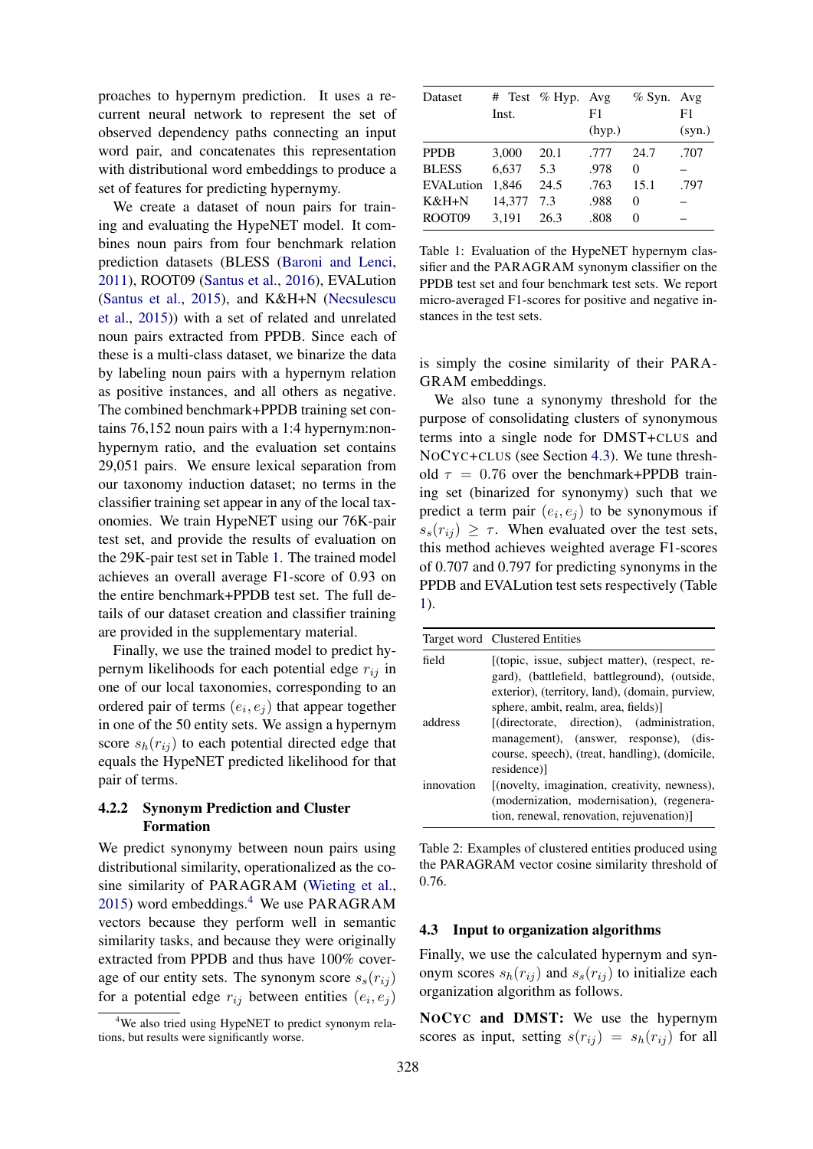proaches to hypernym prediction. It uses a recurrent neural network to represent the set of observed dependency paths connecting an input word pair, and concatenates this representation with distributional word embeddings to produce a set of features for predicting hypernymy.

We create a dataset of noun pairs for training and evaluating the HypeNET model. It combines noun pairs from four benchmark relation prediction datasets (BLESS (Baroni and Lenci, 2011), ROOT09 (Santus et al., 2016), EVALution (Santus et al., 2015), and K&H+N (Necsulescu et al., 2015)) with a set of related and unrelated noun pairs extracted from PPDB. Since each of these is a multi-class dataset, we binarize the data by labeling noun pairs with a hypernym relation as positive instances, and all others as negative. The combined benchmark+PPDB training set contains 76,152 noun pairs with a 1:4 hypernym:nonhypernym ratio, and the evaluation set contains 29,051 pairs. We ensure lexical separation from our taxonomy induction dataset; no terms in the classifier training set appear in any of the local taxonomies. We train HypeNET using our 76K-pair test set, and provide the results of evaluation on the 29K-pair test set in Table 1. The trained model achieves an overall average F1-score of 0.93 on the entire benchmark+PPDB test set. The full details of our dataset creation and classifier training are provided in the supplementary material.

Finally, we use the trained model to predict hypernym likelihoods for each potential edge  $r_{ij}$  in one of our local taxonomies, corresponding to an ordered pair of terms  $(e_i, e_j)$  that appear together in one of the 50 entity sets. We assign a hypernym score  $s_h(r_{ij})$  to each potential directed edge that equals the HypeNET predicted likelihood for that pair of terms.

## 4.2.2 Synonym Prediction and Cluster Formation

We predict synonymy between noun pairs using distributional similarity, operationalized as the cosine similarity of PARAGRAM (Wieting et al., 2015) word embeddings.<sup>4</sup> We use PARAGRAM vectors because they perform well in semantic similarity tasks, and because they were originally extracted from PPDB and thus have 100% coverage of our entity sets. The synonym score  $s_s(r_{ij})$ for a potential edge  $r_{ij}$  between entities  $(e_i, e_j)$ 

| Dataset      | Inst.  | # Test % Hyp. Avg | F1     | $%$ Syn. | Avg<br>F1 |
|--------------|--------|-------------------|--------|----------|-----------|
|              |        |                   | (hyp.) |          | (syn.)    |
| <b>PPDB</b>  | 3.000  | 20.1              | .777   | 24.7     | .707      |
| <b>BLESS</b> | 6.637  | 5.3               | .978   | 0        |           |
| EVALution    | 1.846  | 24.5              | .763   | 15.1     | .797      |
| $K&H+N$      | 14.377 | 7.3               | .988   | 0        |           |
| ROOT09       | 3.191  | 26.3              | .808   | $\theta$ |           |

Table 1: Evaluation of the HypeNET hypernym classifier and the PARAGRAM synonym classifier on the PPDB test set and four benchmark test sets. We report micro-averaged F1-scores for positive and negative instances in the test sets.

is simply the cosine similarity of their PARA-GRAM embeddings.

We also tune a synonymy threshold for the purpose of consolidating clusters of synonymous terms into a single node for DMST+CLUS and NOCYC+CLUS (see Section 4.3). We tune threshold  $\tau = 0.76$  over the benchmark+PPDB training set (binarized for synonymy) such that we predict a term pair  $(e_i, e_j)$  to be synonymous if  $s_s(r_{ij}) \geq \tau$ . When evaluated over the test sets, this method achieves weighted average F1-scores of 0.707 and 0.797 for predicting synonyms in the PPDB and EVALution test sets respectively (Table 1).

|            | Target word Clustered Entities                                                                                                                                                             |  |  |  |  |
|------------|--------------------------------------------------------------------------------------------------------------------------------------------------------------------------------------------|--|--|--|--|
| field      | [(topic, issue, subject matter), (respect, re-<br>gard), (battlefield, battleground), (outside,<br>exterior), (territory, land), (domain, purview,<br>sphere, ambit, realm, area, fields)] |  |  |  |  |
| address    | [(directorate, direction), (administration,<br>management), (answer, response), (dis-<br>course, speech), (treat, handling), (domicile,<br>residence)                                      |  |  |  |  |
| innovation | [(novelty, imagination, creativity, newness),<br>(modernization, modernisation), (regenera-<br>tion, renewal, renovation, rejuvenation)                                                    |  |  |  |  |

Table 2: Examples of clustered entities produced using the PARAGRAM vector cosine similarity threshold of 0.76.

#### 4.3 Input to organization algorithms

Finally, we use the calculated hypernym and synonym scores  $s_h(r_{ij})$  and  $s_s(r_{ij})$  to initialize each organization algorithm as follows.

NOCYC and DMST: We use the hypernym scores as input, setting  $s(r_{ij}) = s_h(r_{ij})$  for all

<sup>&</sup>lt;sup>4</sup>We also tried using HypeNET to predict synonym relations, but results were significantly worse.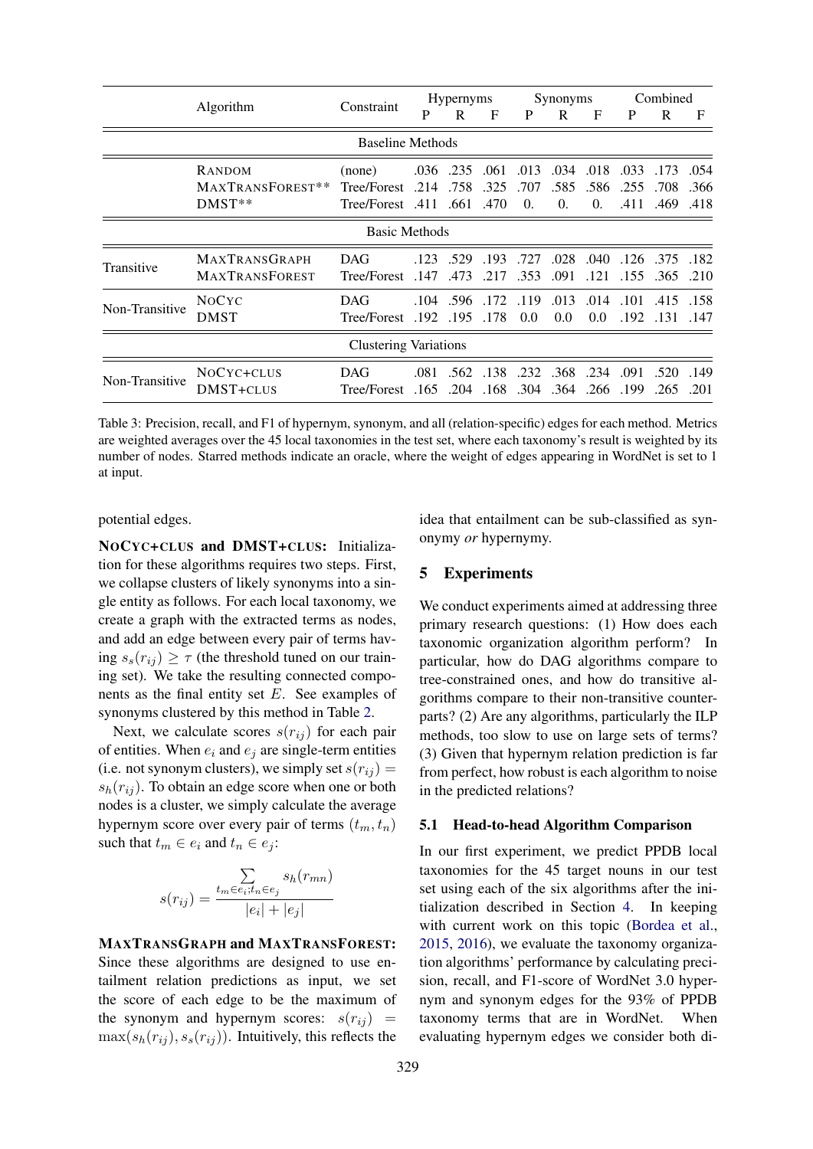|                              |                                               |                           | <b>Hypernyms</b> |              | Synonyms     |              |                  | Combined         |              |                  |              |
|------------------------------|-----------------------------------------------|---------------------------|------------------|--------------|--------------|--------------|------------------|------------------|--------------|------------------|--------------|
|                              | Algorithm                                     | Constraint                | P                | R            | F            | P            | R                | F                | P            | R                | F            |
| <b>Baseline Methods</b>      |                                               |                           |                  |              |              |              |                  |                  |              |                  |              |
|                              | RANDOM                                        | (none)                    |                  | .036. .235   | .061         | .013         | .034             | .018             | .033         | .173             | .054         |
|                              | MAXTRANSFOREST**                              | Tree/Forest               | .214             | .758         | .325         | .707         | .585             | .586             | .255         | .708             | .366         |
|                              | $DMST**$                                      | 470. 661. Tree/Forest     |                  |              |              | $\theta$ .   | 0.               | $\overline{0}$ . |              | .411 .469        | .418         |
| Basic Methods                |                                               |                           |                  |              |              |              |                  |                  |              |                  |              |
| Transitive                   | <b>MAXTRANSGRAPH</b><br><b>MAXTRANSFOREST</b> | <b>DAG</b><br>Tree/Forest | .123<br>.147     | .529<br>.473 | .193<br>.217 | .727<br>.353 | .028<br>.091     | .040<br>.121     | .126<br>.155 | .375<br>.365     | .182<br>.210 |
| Non-Transitive               | <b>NOCYC</b><br>DMST                          | <b>DAG</b><br>Tree/Forest | .104<br>.192     | .596<br>.195 | .172<br>.178 | .119<br>0.0  | .013<br>0.0      | .014<br>0.0      | .101<br>.192 | .415<br>.131     | .158<br>.147 |
| <b>Clustering Variations</b> |                                               |                           |                  |              |              |              |                  |                  |              |                  |              |
| Non-Transitive               | NOCYC+CLUS<br>DMST+CLUS                       | <b>DAG</b><br>Tree/Forest | .081<br>.165     | .204         | .562.138     | .232         | .168.304.364.266 | .368.234         | .199         | .091.520<br>.265 | .149<br>.201 |

Table 3: Precision, recall, and F1 of hypernym, synonym, and all (relation-specific) edges for each method. Metrics are weighted averages over the 45 local taxonomies in the test set, where each taxonomy's result is weighted by its number of nodes. Starred methods indicate an oracle, where the weight of edges appearing in WordNet is set to 1 at input.

potential edges.

NOCYC+CLUS and DMST+CLUS: Initialization for these algorithms requires two steps. First, we collapse clusters of likely synonyms into a single entity as follows. For each local taxonomy, we create a graph with the extracted terms as nodes, and add an edge between every pair of terms having  $s_s(r_{ij}) \geq \tau$  (the threshold tuned on our training set). We take the resulting connected components as the final entity set E. See examples of synonyms clustered by this method in Table 2.

Next, we calculate scores  $s(r_{ij})$  for each pair of entities. When  $e_i$  and  $e_j$  are single-term entities (i.e. not synonym clusters), we simply set  $s(r_{ij}) =$  $s_h(r_{ij})$ . To obtain an edge score when one or both nodes is a cluster, we simply calculate the average hypernym score over every pair of terms  $(t_m, t_n)$ such that  $t_m \in e_i$  and  $t_n \in e_i$ :

$$
s(r_{ij}) = \frac{\sum\limits_{t_m \in e_i; t_n \in e_j} s_h(r_{mn})}{|e_i| + |e_j|}
$$

#### MAXTRANSGRAPH and MAXTRANSFOREST:

Since these algorithms are designed to use entailment relation predictions as input, we set the score of each edge to be the maximum of the synonym and hypernym scores:  $s(r_{ij})$  =  $\max(s_h(r_{ij}), s_s(r_{ij}))$ . Intuitively, this reflects the

idea that entailment can be sub-classified as synonymy *or* hypernymy.

### 5 Experiments

We conduct experiments aimed at addressing three primary research questions: (1) How does each taxonomic organization algorithm perform? In particular, how do DAG algorithms compare to tree-constrained ones, and how do transitive algorithms compare to their non-transitive counterparts? (2) Are any algorithms, particularly the ILP methods, too slow to use on large sets of terms? (3) Given that hypernym relation prediction is far from perfect, how robust is each algorithm to noise in the predicted relations?

#### 5.1 Head-to-head Algorithm Comparison

In our first experiment, we predict PPDB local taxonomies for the 45 target nouns in our test set using each of the six algorithms after the initialization described in Section 4. In keeping with current work on this topic (Bordea et al., 2015, 2016), we evaluate the taxonomy organization algorithms' performance by calculating precision, recall, and F1-score of WordNet 3.0 hypernym and synonym edges for the 93% of PPDB taxonomy terms that are in WordNet. When evaluating hypernym edges we consider both di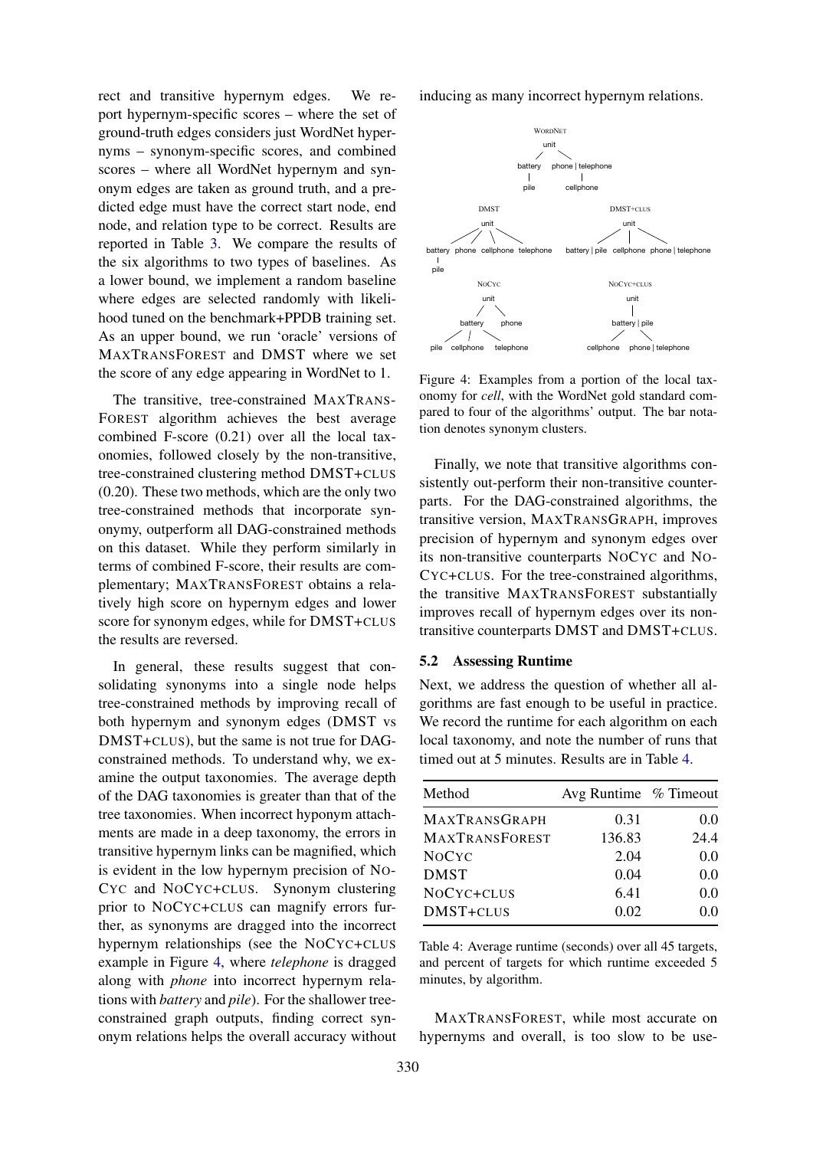rect and transitive hypernym edges. We report hypernym-specific scores – where the set of ground-truth edges considers just WordNet hypernyms – synonym-specific scores, and combined scores – where all WordNet hypernym and synonym edges are taken as ground truth, and a predicted edge must have the correct start node, end node, and relation type to be correct. Results are reported in Table 3. We compare the results of the six algorithms to two types of baselines. As a lower bound, we implement a random baseline where edges are selected randomly with likelihood tuned on the benchmark+PPDB training set. As an upper bound, we run 'oracle' versions of MAXTRANSFOREST and DMST where we set the score of any edge appearing in WordNet to 1.

The transitive, tree-constrained MAXTRANS-FOREST algorithm achieves the best average combined F-score (0.21) over all the local taxonomies, followed closely by the non-transitive, tree-constrained clustering method DMST+CLUS (0.20). These two methods, which are the only two tree-constrained methods that incorporate synonymy, outperform all DAG-constrained methods on this dataset. While they perform similarly in terms of combined F-score, their results are complementary; MAXTRANSFOREST obtains a relatively high score on hypernym edges and lower score for synonym edges, while for DMST+CLUS the results are reversed.

In general, these results suggest that consolidating synonyms into a single node helps tree-constrained methods by improving recall of both hypernym and synonym edges (DMST vs DMST+CLUS), but the same is not true for DAGconstrained methods. To understand why, we examine the output taxonomies. The average depth of the DAG taxonomies is greater than that of the tree taxonomies. When incorrect hyponym attachments are made in a deep taxonomy, the errors in transitive hypernym links can be magnified, which is evident in the low hypernym precision of NO-CYC and NOCYC+CLUS. Synonym clustering prior to NOCYC+CLUS can magnify errors further, as synonyms are dragged into the incorrect hypernym relationships (see the NOCYC+CLUS example in Figure 4, where *telephone* is dragged along with *phone* into incorrect hypernym relations with *battery* and *pile*). For the shallower treeconstrained graph outputs, finding correct synonym relations helps the overall accuracy without

inducing as many incorrect hypernym relations.



Figure 4: Examples from a portion of the local taxonomy for *cell*, with the WordNet gold standard compared to four of the algorithms' output. The bar notation denotes synonym clusters.

Finally, we note that transitive algorithms consistently out-perform their non-transitive counterparts. For the DAG-constrained algorithms, the transitive version, MAXTRANSGRAPH, improves precision of hypernym and synonym edges over its non-transitive counterparts NOCYC and NO-CYC+CLUS. For the tree-constrained algorithms, the transitive MAXTRANSFOREST substantially improves recall of hypernym edges over its nontransitive counterparts DMST and DMST+CLUS.

#### 5.2 Assessing Runtime

Next, we address the question of whether all algorithms are fast enough to be useful in practice. We record the runtime for each algorithm on each local taxonomy, and note the number of runs that timed out at 5 minutes. Results are in Table 4.

| Method                | Avg Runtime % Timeout |      |
|-----------------------|-----------------------|------|
| <b>MAXTRANSGRAPH</b>  | 0.31                  | 0.0  |
| <b>MAXTRANSFOREST</b> | 136.83                | 24.4 |
| <b>NOCYC</b>          | 2.04                  | 0.0  |
| <b>DMST</b>           | 0.04                  | 0.0  |
| NOCYC+CLUS            | 6.41                  | 0.0  |
| DMST+CLUS             | 0.02                  | 0.0  |
|                       |                       |      |

Table 4: Average runtime (seconds) over all 45 targets, and percent of targets for which runtime exceeded 5 minutes, by algorithm.

MAXTRANSFOREST, while most accurate on hypernyms and overall, is too slow to be use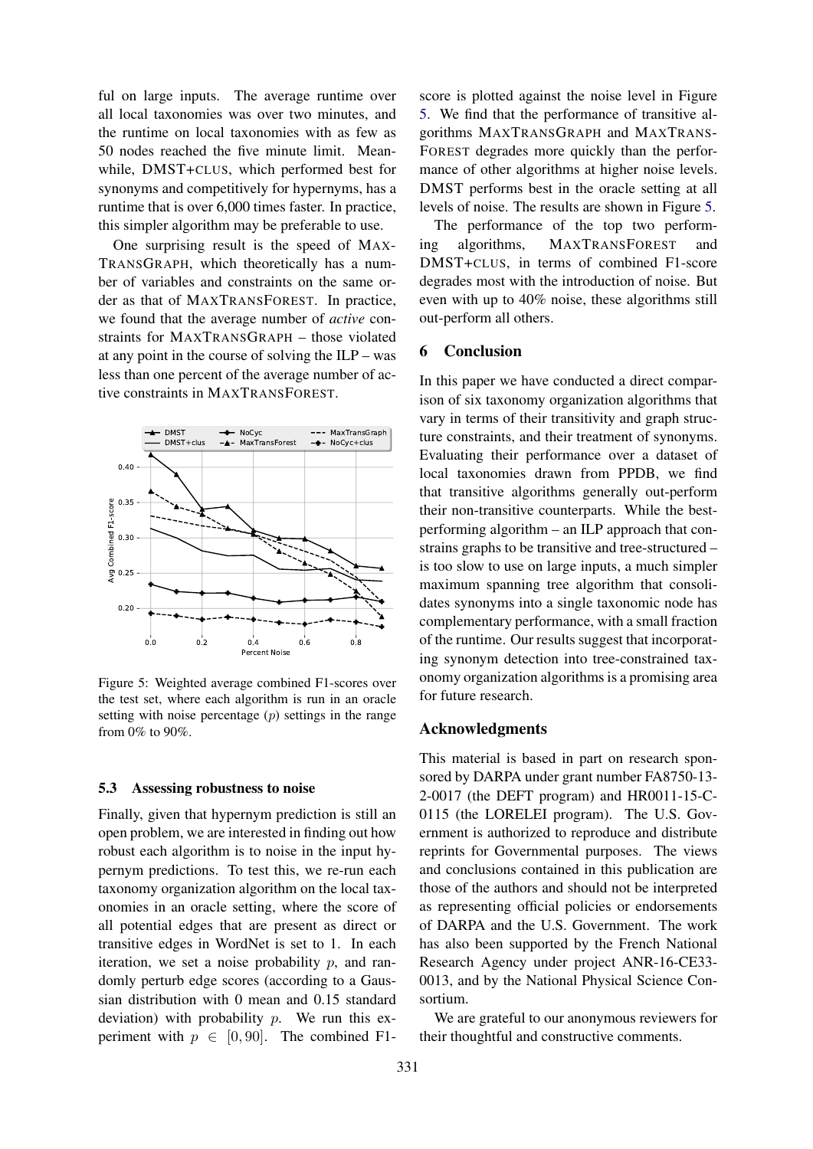ful on large inputs. The average runtime over all local taxonomies was over two minutes, and the runtime on local taxonomies with as few as 50 nodes reached the five minute limit. Meanwhile, DMST+CLUS, which performed best for synonyms and competitively for hypernyms, has a runtime that is over 6,000 times faster. In practice, this simpler algorithm may be preferable to use.

One surprising result is the speed of MAX-TRANSGRAPH, which theoretically has a number of variables and constraints on the same order as that of MAXTRANSFOREST. In practice, we found that the average number of *active* constraints for MAXTRANSGRAPH – those violated at any point in the course of solving the ILP – was less than one percent of the average number of active constraints in MAXTRANSFOREST.



Figure 5: Weighted average combined F1-scores over the test set, where each algorithm is run in an oracle setting with noise percentage  $(p)$  settings in the range from 0% to 90%.

#### 5.3 Assessing robustness to noise

Finally, given that hypernym prediction is still an open problem, we are interested in finding out how robust each algorithm is to noise in the input hypernym predictions. To test this, we re-run each taxonomy organization algorithm on the local taxonomies in an oracle setting, where the score of all potential edges that are present as direct or transitive edges in WordNet is set to 1. In each iteration, we set a noise probability  $p$ , and randomly perturb edge scores (according to a Gaussian distribution with 0 mean and 0.15 standard deviation) with probability  $p$ . We run this experiment with  $p \in [0, 90]$ . The combined F1-

score is plotted against the noise level in Figure 5. We find that the performance of transitive algorithms MAXTRANSGRAPH and MAXTRANS-FOREST degrades more quickly than the performance of other algorithms at higher noise levels. DMST performs best in the oracle setting at all levels of noise. The results are shown in Figure 5.

The performance of the top two performing algorithms, MAXTRANSFOREST and DMST+CLUS, in terms of combined F1-score degrades most with the introduction of noise. But even with up to 40% noise, these algorithms still out-perform all others.

## 6 Conclusion

In this paper we have conducted a direct comparison of six taxonomy organization algorithms that vary in terms of their transitivity and graph structure constraints, and their treatment of synonyms. Evaluating their performance over a dataset of local taxonomies drawn from PPDB, we find that transitive algorithms generally out-perform their non-transitive counterparts. While the bestperforming algorithm – an ILP approach that constrains graphs to be transitive and tree-structured – is too slow to use on large inputs, a much simpler maximum spanning tree algorithm that consolidates synonyms into a single taxonomic node has complementary performance, with a small fraction of the runtime. Our results suggest that incorporating synonym detection into tree-constrained taxonomy organization algorithms is a promising area for future research.

## Acknowledgments

This material is based in part on research sponsored by DARPA under grant number FA8750-13- 2-0017 (the DEFT program) and HR0011-15-C-0115 (the LORELEI program). The U.S. Government is authorized to reproduce and distribute reprints for Governmental purposes. The views and conclusions contained in this publication are those of the authors and should not be interpreted as representing official policies or endorsements of DARPA and the U.S. Government. The work has also been supported by the French National Research Agency under project ANR-16-CE33- 0013, and by the National Physical Science Consortium.

We are grateful to our anonymous reviewers for their thoughtful and constructive comments.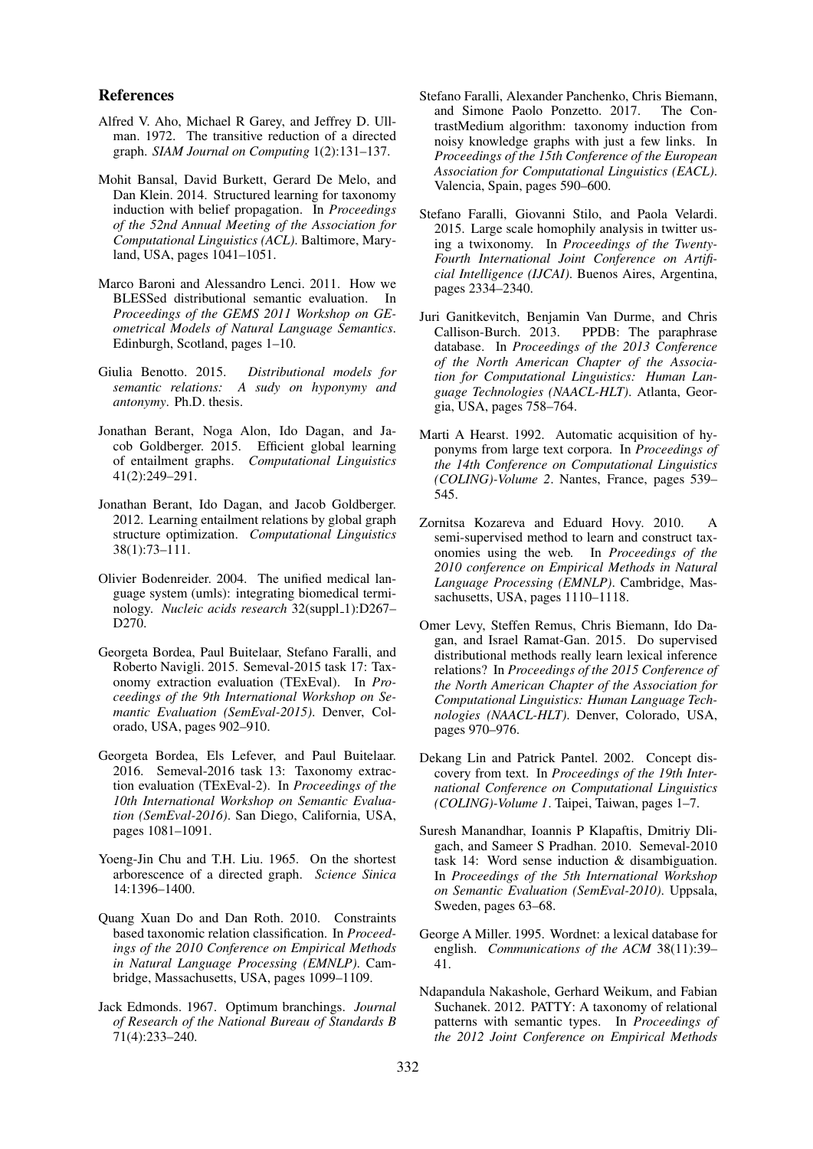## References

- Alfred V. Aho, Michael R Garey, and Jeffrey D. Ullman. 1972. The transitive reduction of a directed graph. *SIAM Journal on Computing* 1(2):131–137.
- Mohit Bansal, David Burkett, Gerard De Melo, and Dan Klein. 2014. Structured learning for taxonomy induction with belief propagation. In *Proceedings of the 52nd Annual Meeting of the Association for Computational Linguistics (ACL)*. Baltimore, Maryland, USA, pages 1041–1051.
- Marco Baroni and Alessandro Lenci. 2011. How we BLESSed distributional semantic evaluation. In *Proceedings of the GEMS 2011 Workshop on GEometrical Models of Natural Language Semantics*. Edinburgh, Scotland, pages 1–10.
- Giulia Benotto. 2015. *Distributional models for semantic relations: A sudy on hyponymy and antonymy*. Ph.D. thesis.
- Jonathan Berant, Noga Alon, Ido Dagan, and Jacob Goldberger. 2015. Efficient global learning of entailment graphs. *Computational Linguistics* 41(2):249–291.
- Jonathan Berant, Ido Dagan, and Jacob Goldberger. 2012. Learning entailment relations by global graph structure optimization. *Computational Linguistics* 38(1):73–111.
- Olivier Bodenreider. 2004. The unified medical language system (umls): integrating biomedical terminology. *Nucleic acids research* 32(suppl\_1):D267– D270.
- Georgeta Bordea, Paul Buitelaar, Stefano Faralli, and Roberto Navigli. 2015. Semeval-2015 task 17: Taxonomy extraction evaluation (TExEval). In *Proceedings of the 9th International Workshop on Semantic Evaluation (SemEval-2015)*. Denver, Colorado, USA, pages 902–910.
- Georgeta Bordea, Els Lefever, and Paul Buitelaar. 2016. Semeval-2016 task 13: Taxonomy extraction evaluation (TExEval-2). In *Proceedings of the 10th International Workshop on Semantic Evaluation (SemEval-2016)*. San Diego, California, USA, pages 1081–1091.
- Yoeng-Jin Chu and T.H. Liu. 1965. On the shortest arborescence of a directed graph. *Science Sinica* 14:1396–1400.
- Quang Xuan Do and Dan Roth. 2010. Constraints based taxonomic relation classification. In *Proceedings of the 2010 Conference on Empirical Methods in Natural Language Processing (EMNLP)*. Cambridge, Massachusetts, USA, pages 1099–1109.
- Jack Edmonds. 1967. Optimum branchings. *Journal of Research of the National Bureau of Standards B* 71(4):233–240.
- Stefano Faralli, Alexander Panchenko, Chris Biemann, and Simone Paolo Ponzetto. 2017. The ContrastMedium algorithm: taxonomy induction from noisy knowledge graphs with just a few links. In *Proceedings of the 15th Conference of the European Association for Computational Linguistics (EACL)*. Valencia, Spain, pages 590–600.
- Stefano Faralli, Giovanni Stilo, and Paola Velardi. 2015. Large scale homophily analysis in twitter using a twixonomy. In *Proceedings of the Twenty-Fourth International Joint Conference on Artificial Intelligence (IJCAI)*. Buenos Aires, Argentina, pages 2334–2340.
- Juri Ganitkevitch, Benjamin Van Durme, and Chris Callison-Burch. 2013. PPDB: The paraphrase database. In *Proceedings of the 2013 Conference of the North American Chapter of the Association for Computational Linguistics: Human Language Technologies (NAACL-HLT)*. Atlanta, Georgia, USA, pages 758–764.
- Marti A Hearst. 1992. Automatic acquisition of hyponyms from large text corpora. In *Proceedings of the 14th Conference on Computational Linguistics (COLING)-Volume 2*. Nantes, France, pages 539– 545.
- Zornitsa Kozareva and Eduard Hovy. 2010. A semi-supervised method to learn and construct taxonomies using the web. In *Proceedings of the 2010 conference on Empirical Methods in Natural Language Processing (EMNLP)*. Cambridge, Massachusetts, USA, pages 1110–1118.
- Omer Levy, Steffen Remus, Chris Biemann, Ido Dagan, and Israel Ramat-Gan. 2015. Do supervised distributional methods really learn lexical inference relations? In *Proceedings of the 2015 Conference of the North American Chapter of the Association for Computational Linguistics: Human Language Technologies (NAACL-HLT)*. Denver, Colorado, USA, pages 970–976.
- Dekang Lin and Patrick Pantel. 2002. Concept discovery from text. In *Proceedings of the 19th International Conference on Computational Linguistics (COLING)-Volume 1*. Taipei, Taiwan, pages 1–7.
- Suresh Manandhar, Ioannis P Klapaftis, Dmitriy Dligach, and Sameer S Pradhan. 2010. Semeval-2010 task 14: Word sense induction & disambiguation. In *Proceedings of the 5th International Workshop on Semantic Evaluation (SemEval-2010)*. Uppsala, Sweden, pages 63–68.
- George A Miller. 1995. Wordnet: a lexical database for english. *Communications of the ACM* 38(11):39– 41.
- Ndapandula Nakashole, Gerhard Weikum, and Fabian Suchanek. 2012. PATTY: A taxonomy of relational patterns with semantic types. In *Proceedings of the 2012 Joint Conference on Empirical Methods*